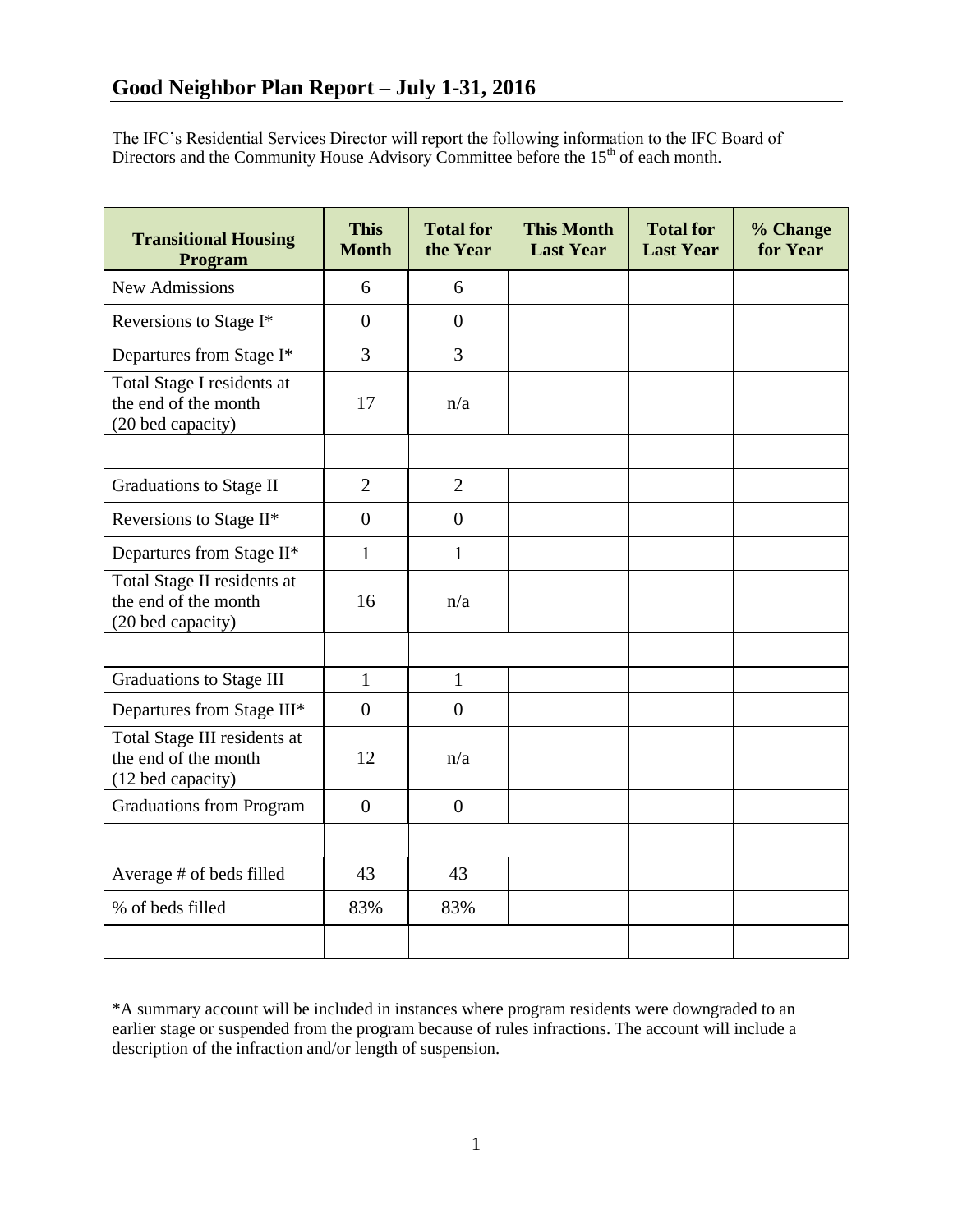The IFC's Residential Services Director will report the following information to the IFC Board of Directors and the Community House Advisory Committee before the  $15<sup>th</sup>$  of each month.

| <b>Transitional Housing</b><br>Program                                    | <b>This</b><br><b>Month</b> | <b>Total for</b><br>the Year | <b>This Month</b><br><b>Last Year</b> | <b>Total for</b><br><b>Last Year</b> | % Change<br>for Year |
|---------------------------------------------------------------------------|-----------------------------|------------------------------|---------------------------------------|--------------------------------------|----------------------|
| <b>New Admissions</b>                                                     | 6                           | 6                            |                                       |                                      |                      |
| Reversions to Stage I*                                                    | $\overline{0}$              | $\theta$                     |                                       |                                      |                      |
| Departures from Stage I*                                                  | $\overline{3}$              | $\overline{3}$               |                                       |                                      |                      |
| Total Stage I residents at<br>the end of the month<br>(20 bed capacity)   | 17                          | n/a                          |                                       |                                      |                      |
|                                                                           |                             |                              |                                       |                                      |                      |
| <b>Graduations to Stage II</b>                                            | $\overline{2}$              | $\overline{2}$               |                                       |                                      |                      |
| Reversions to Stage II*                                                   | $\overline{0}$              | $\overline{0}$               |                                       |                                      |                      |
| Departures from Stage II*                                                 | $\mathbf{1}$                | $\mathbf{1}$                 |                                       |                                      |                      |
| Total Stage II residents at<br>the end of the month<br>(20 bed capacity)  | 16                          | n/a                          |                                       |                                      |                      |
|                                                                           |                             |                              |                                       |                                      |                      |
| <b>Graduations to Stage III</b>                                           | $\mathbf{1}$                | $\mathbf{1}$                 |                                       |                                      |                      |
| Departures from Stage III*                                                | $\overline{0}$              | $\overline{0}$               |                                       |                                      |                      |
| Total Stage III residents at<br>the end of the month<br>(12 bed capacity) | 12                          | n/a                          |                                       |                                      |                      |
| <b>Graduations from Program</b>                                           | $\overline{0}$              | $\overline{0}$               |                                       |                                      |                      |
|                                                                           |                             |                              |                                       |                                      |                      |
| Average # of beds filled                                                  | 43                          | 43                           |                                       |                                      |                      |
| % of beds filled                                                          | 83%                         | 83%                          |                                       |                                      |                      |
|                                                                           |                             |                              |                                       |                                      |                      |

\*A summary account will be included in instances where program residents were downgraded to an earlier stage or suspended from the program because of rules infractions. The account will include a description of the infraction and/or length of suspension.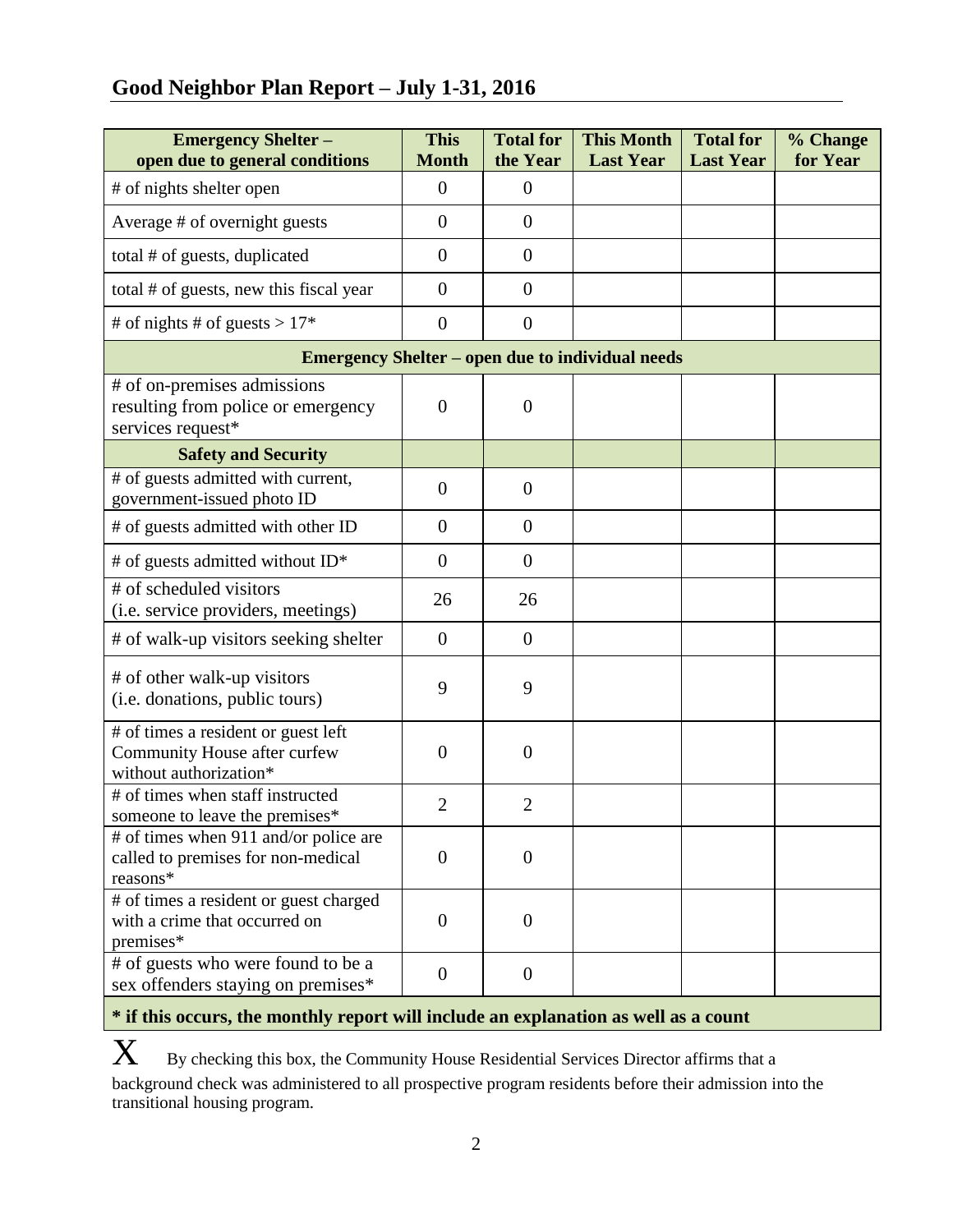# **Good Neighbor Plan Report – July 1-31, 2016**

| <b>Emergency Shelter -</b><br>open due to general conditions                                  | <b>This</b><br><b>Month</b> | <b>Total for</b><br>the Year | <b>This Month</b><br><b>Last Year</b> | <b>Total for</b><br><b>Last Year</b> | % Change<br>for Year |  |  |  |
|-----------------------------------------------------------------------------------------------|-----------------------------|------------------------------|---------------------------------------|--------------------------------------|----------------------|--|--|--|
| # of nights shelter open                                                                      | $\overline{0}$              | $\overline{0}$               |                                       |                                      |                      |  |  |  |
| Average # of overnight guests                                                                 | $\theta$                    | $\overline{0}$               |                                       |                                      |                      |  |  |  |
| total # of guests, duplicated                                                                 | $\overline{0}$              | $\overline{0}$               |                                       |                                      |                      |  |  |  |
| total # of guests, new this fiscal year                                                       | $\overline{0}$              | $\overline{0}$               |                                       |                                      |                      |  |  |  |
| # of nights # of guests > $17*$                                                               | $\overline{0}$              | $\overline{0}$               |                                       |                                      |                      |  |  |  |
| <b>Emergency Shelter – open due to individual needs</b>                                       |                             |                              |                                       |                                      |                      |  |  |  |
| # of on-premises admissions<br>resulting from police or emergency<br>services request*        | $\overline{0}$              | $\overline{0}$               |                                       |                                      |                      |  |  |  |
| <b>Safety and Security</b>                                                                    |                             |                              |                                       |                                      |                      |  |  |  |
| # of guests admitted with current,<br>government-issued photo ID                              | $\overline{0}$              | $\overline{0}$               |                                       |                                      |                      |  |  |  |
| # of guests admitted with other ID                                                            | $\overline{0}$              | $\overline{0}$               |                                       |                                      |                      |  |  |  |
| # of guests admitted without ID*                                                              | $\overline{0}$              | $\overline{0}$               |                                       |                                      |                      |  |  |  |
| # of scheduled visitors<br>(i.e. service providers, meetings)                                 | 26                          | 26                           |                                       |                                      |                      |  |  |  |
| # of walk-up visitors seeking shelter                                                         | $\overline{0}$              | $\overline{0}$               |                                       |                                      |                      |  |  |  |
| # of other walk-up visitors<br>(i.e. donations, public tours)                                 | 9                           | 9                            |                                       |                                      |                      |  |  |  |
| # of times a resident or guest left<br>Community House after curfew<br>without authorization* | $\overline{0}$              | $\overline{0}$               |                                       |                                      |                      |  |  |  |
| # of times when staff instructed<br>someone to leave the premises*                            | $\overline{2}$              | $\overline{2}$               |                                       |                                      |                      |  |  |  |
| # of times when 911 and/or police are<br>called to premises for non-medical<br>reasons*       | $\overline{0}$              | $\theta$                     |                                       |                                      |                      |  |  |  |
| # of times a resident or guest charged<br>with a crime that occurred on<br>premises*          | $\overline{0}$              | $\boldsymbol{0}$             |                                       |                                      |                      |  |  |  |
| # of guests who were found to be a<br>sex offenders staying on premises*                      | $\overline{0}$              | $\theta$                     |                                       |                                      |                      |  |  |  |

## **\* if this occurs, the monthly report will include an explanation as well as a count**

 $\mathbf X$  By checking this box, the Community House Residential Services Director affirms that a background check was administered to all prospective program residents before their admission into the transitional housing program.